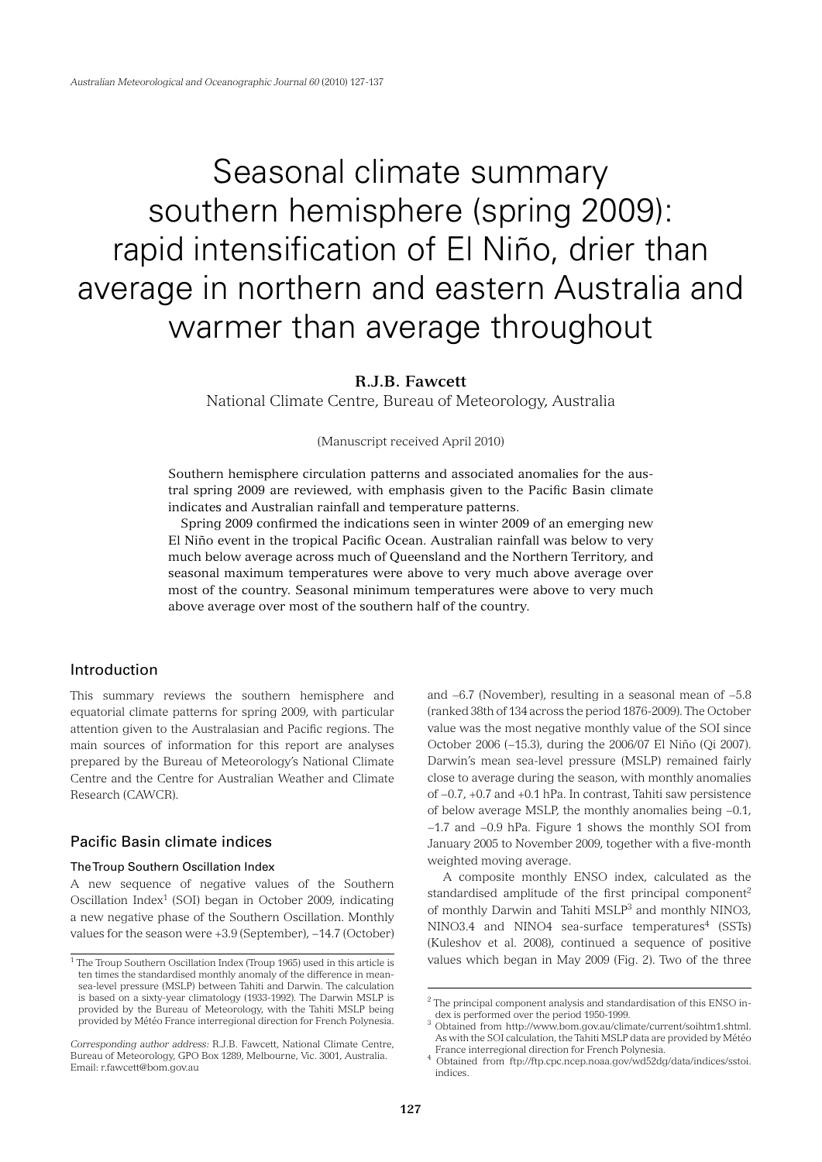# Seasonal climate summary southern hemisphere (spring 2009): rapid intensification of El Niño, drier than average in northern and eastern Australia and warmer than average throughout

# **R.J.B. Fawcett**

National Climate Centre, Bureau of Meteorology, Australia

(Manuscript received April 2010)

Southern hemisphere circulation patterns and associated anomalies for the austral spring 2009 are reviewed, with emphasis given to the Pacific Basin climate indicates and Australian rainfall and temperature patterns.

 Spring 2009 confirmed the indications seen in winter 2009 of an emerging new El Niño event in the tropical Pacific Ocean. Australian rainfall was below to very much below average across much of Queensland and the Northern Territory, and seasonal maximum temperatures were above to very much above average over most of the country. Seasonal minimum temperatures were above to very much above average over most of the southern half of the country.

# Introduction

This summary reviews the southern hemisphere and equatorial climate patterns for spring 2009, with particular attention given to the Australasian and Pacific regions. The main sources of information for this report are analyses prepared by the Bureau of Meteorology's National Climate Centre and the Centre for Australian Weather and Climate Research (CAWCR).

# Pacific Basin climate indices

#### The Troup Southern Oscillation Index

A new sequence of negative values of the Southern Oscillation Index<sup>1</sup> (SOI) began in October 2009, indicating a new negative phase of the Southern Oscillation. Monthly values for the season were +3.9 (September), −14.7 (October)

and −6.7 (November), resulting in a seasonal mean of −5.8 (ranked 38th of 134 across the period 1876-2009). The October value was the most negative monthly value of the SOI since October 2006 (−15.3), during the 2006/07 El Niño (Qi 2007). Darwin's mean sea-level pressure (MSLP) remained fairly close to average during the season, with monthly anomalies of −0.7, +0.7 and +0.1 hPa. In contrast, Tahiti saw persistence of below average MSLP, the monthly anomalies being −0.1, −1.7 and −0.9 hPa. Figure 1 shows the monthly SOI from January 2005 to November 2009, together with a five-month weighted moving average.

A composite monthly ENSO index, calculated as the standardised amplitude of the first principal component<sup>2</sup> of monthly Darwin and Tahiti MSLP3 and monthly NINO3, NINO3.4 and NINO4 sea-surface temperatures<sup>4</sup> (SSTs) (Kuleshov et al. 2008), continued a sequence of positive values which began in May 2009 (Fig. 2). Two of the three

<sup>&</sup>lt;sup>1</sup> The Troup Southern Oscillation Index (Troup 1965) used in this article is ten times the standardised monthly anomaly of the difference in meansea-level pressure (MSLP) between Tahiti and Darwin. The calculation is based on a sixty-year climatology (1933-1992). The Darwin MSLP is provided by the Bureau of Meteorology, with the Tahiti MSLP being provided by Météo France interregional direction for French Polynesia.

*Corresponding author address:* R.J.B. Fawcett, National Climate Centre, Bureau of Meteorology, GPO Box 1289, Melbourne, Vic. 3001, Australia. Email: r.fawcett@bom.gov.au

<sup>&</sup>lt;sup>2</sup> The principal component analysis and standardisation of this ENSO index is performed over the period 1950-1999.<br><sup>3</sup> Obtained from http://www.bom.gov.au/climate/current/soihtm1.shtml.

As with the SOI calculation, the Tahiti MSLP data are provided by Météo France interregional direction for French Polynesia. <sup>4</sup>

Obtained from ftp://ftp.cpc.ncep.noaa.gov/wd52dg/data/indices/sstoi. indices.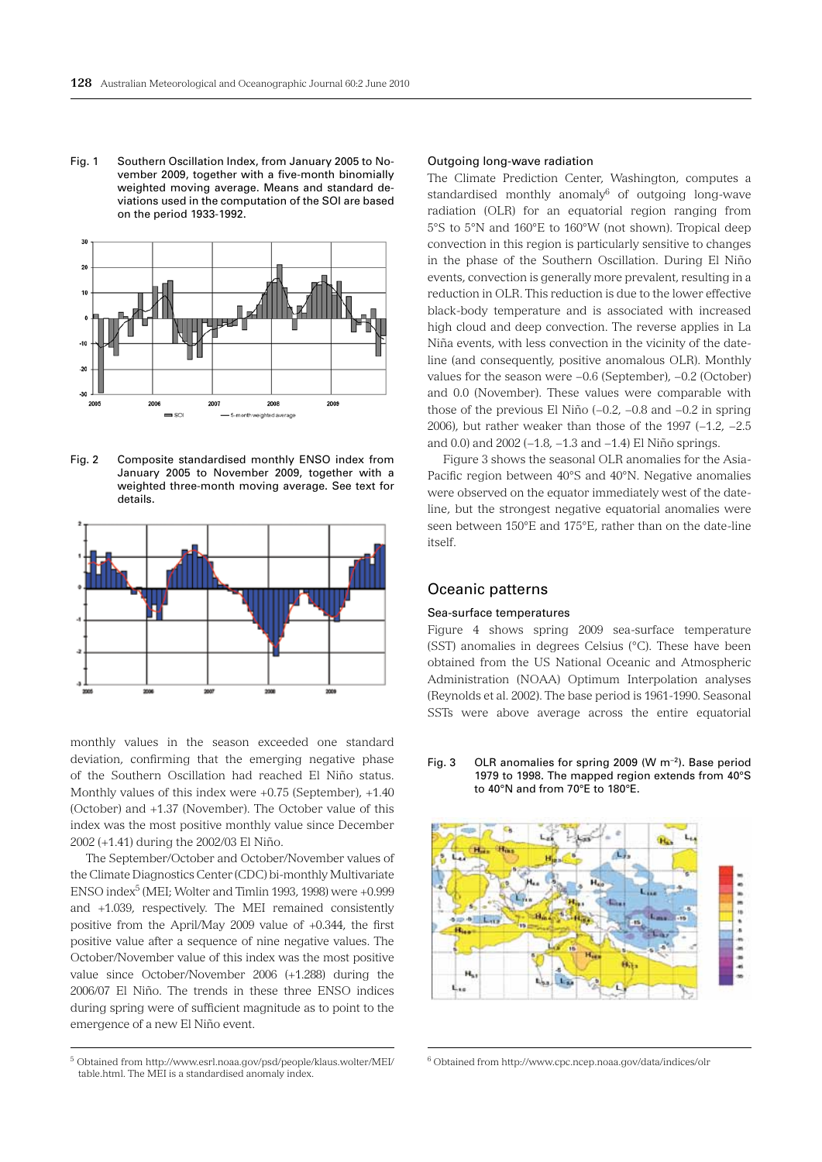Fig. 1 Southern Oscillation Index, from January 2005 to November 2009, together with a five-month binomially weighted moving average. Means and standard deviations used in the computation of the SOI are based on the period 1933-1992.



Fig. 2 Composite standardised monthly ENSO index from January 2005 to November 2009, together with a weighted three-month moving average. See text for details.



monthly values in the season exceeded one standard deviation, confirming that the emerging negative phase of the Southern Oscillation had reached El Niño status. Monthly values of this index were +0.75 (September), +1.40 (October) and +1.37 (November). The October value of this index was the most positive monthly value since December 2002 (+1.41) during the 2002/03 El Niño.

The September/October and October/November values of the Climate Diagnostics Center (CDC) bi-monthly Multivariate ENSO index<sup>5</sup> (MEI; Wolter and Timlin 1993, 1998) were  $+0.999$ and +1.039, respectively. The MEI remained consistently positive from the April/May 2009 value of +0.344, the first positive value after a sequence of nine negative values. The October/November value of this index was the most positive value since October/November 2006 (+1.288) during the 2006/07 El Niño. The trends in these three ENSO indices during spring were of sufficient magnitude as to point to the emergence of a new El Niño event.

5 Obtained from http://www.esrl.noaa.gov/psd/people/klaus.wolter/MEI/ table.html. The MEI is a standardised anomaly index.

#### Outgoing long-wave radiation

The Climate Prediction Center, Washington, computes a standardised monthly anomaly<sup>6</sup> of outgoing long-wave radiation (OLR) for an equatorial region ranging from 5°S to 5°N and 160°E to 160°W (not shown). Tropical deep convection in this region is particularly sensitive to changes in the phase of the Southern Oscillation. During El Niño events, convection is generally more prevalent, resulting in a reduction in OLR. This reduction is due to the lower effective black-body temperature and is associated with increased high cloud and deep convection. The reverse applies in La Niña events, with less convection in the vicinity of the dateline (and consequently, positive anomalous OLR). Monthly values for the season were −0.6 (September), −0.2 (October) and 0.0 (November). These values were comparable with those of the previous El Niño (−0.2, −0.8 and −0.2 in spring 2006), but rather weaker than those of the 1997 (-1.2, -2.5 and 0.0) and 2002 (−1.8, −1.3 and −1.4) El Niño springs.

Figure 3 shows the seasonal OLR anomalies for the Asia-Pacific region between 40°S and 40°N. Negative anomalies were observed on the equator immediately west of the dateline, but the strongest negative equatorial anomalies were seen between 150°E and 175°E, rather than on the date-line itself.

# Oceanic patterns

#### Sea-surface temperatures

Figure 4 shows spring 2009 sea-surface temperature (SST) anomalies in degrees Celsius (°C). These have been obtained from the US National Oceanic and Atmospheric Administration (NOAA) Optimum Interpolation analyses (Reynolds et al. 2002). The base period is 1961-1990. Seasonal SSTs were above average across the entire equatorial

Fig. 3 OLR anomalies for spring 2009 (W m−2). Base period 1979 to 1998. The mapped region extends from 40°S to 40°N and from 70°E to 180°E.



6 Obtained from http://www.cpc.ncep.noaa.gov/data/indices/olr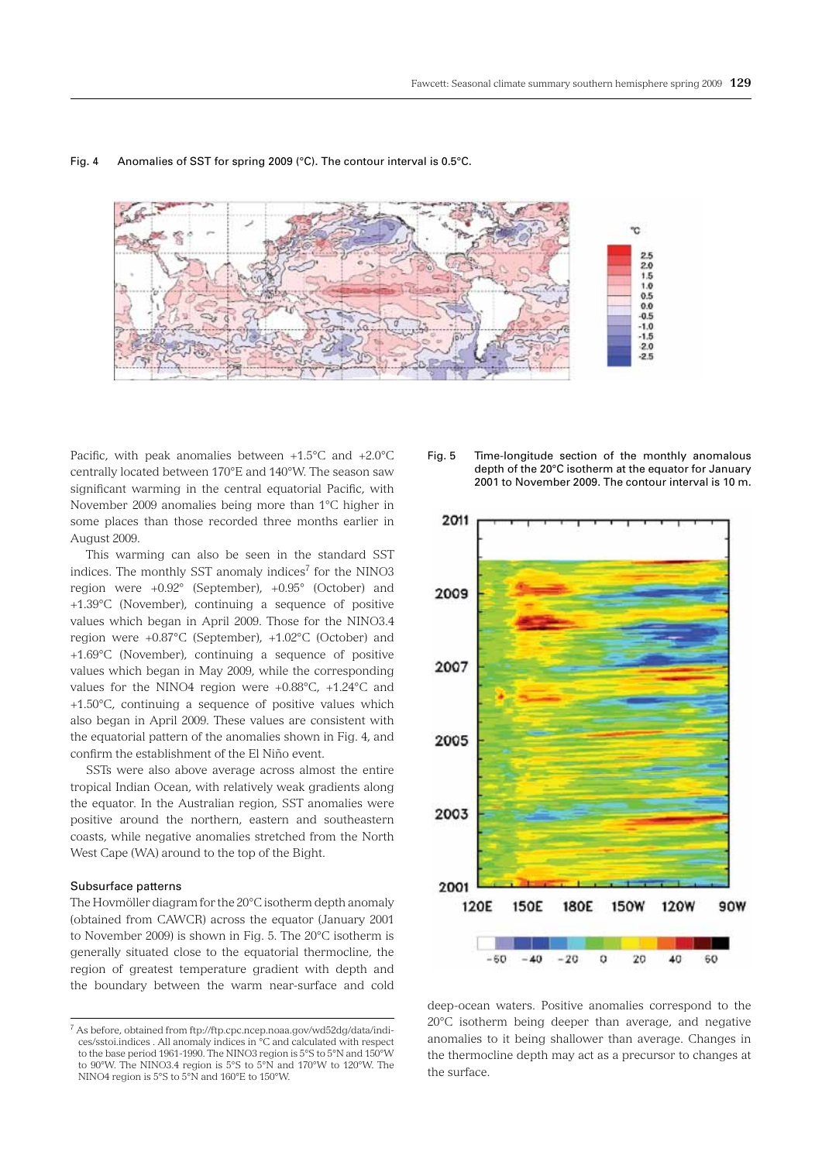

#### Fig. 4 Anomalies of SST for spring 2009 (°C). The contour interval is 0.5°C.

Pacific, with peak anomalies between +1.5°C and +2.0°C centrally located between 170°E and 140°W. The season saw significant warming in the central equatorial Pacific, with November 2009 anomalies being more than 1°C higher in some places than those recorded three months earlier in August 2009.

This warming can also be seen in the standard SST indices. The monthly SST anomaly indices<sup>7</sup> for the NINO3 region were +0.92° (September), +0.95° (October) and +1.39°C (November), continuing a sequence of positive values which began in April 2009. Those for the NINO3.4 region were +0.87°C (September), +1.02°C (October) and +1.69°C (November), continuing a sequence of positive values which began in May 2009, while the corresponding values for the NINO4 region were +0.88°C, +1.24°C and +1.50°C, continuing a sequence of positive values which also began in April 2009. These values are consistent with the equatorial pattern of the anomalies shown in Fig. 4, and confirm the establishment of the El Niño event.

SSTs were also above average across almost the entire tropical Indian Ocean, with relatively weak gradients along the equator. In the Australian region, SST anomalies were positive around the northern, eastern and southeastern coasts, while negative anomalies stretched from the North West Cape (WA) around to the top of the Bight.

## Subsurface patterns

The Hovmöller diagram for the 20°C isotherm depth anomaly (obtained from CAWCR) across the equator (January 2001 to November 2009) is shown in Fig. 5. The 20°C isotherm is generally situated close to the equatorial thermocline, the region of greatest temperature gradient with depth and the boundary between the warm near-surface and cold





deep-ocean waters. Positive anomalies correspond to the 20°C isotherm being deeper than average, and negative anomalies to it being shallower than average. Changes in the thermocline depth may act as a precursor to changes at the surface.

<sup>&</sup>lt;sup>7</sup> As before, obtained from ftp://ftp.cpc.ncep.noaa.gov/wd52dg/data/indices/sstoi.indices . All anomaly indices in °C and calculated with respect to the base period 1961-1990. The NINO3 region is 5°S to 5°N and 150°W to 90°W. The NINO3.4 region is 5°S to 5°N and 170°W to 120°W. The NINO4 region is 5°S to 5°N and 160°E to 150°W.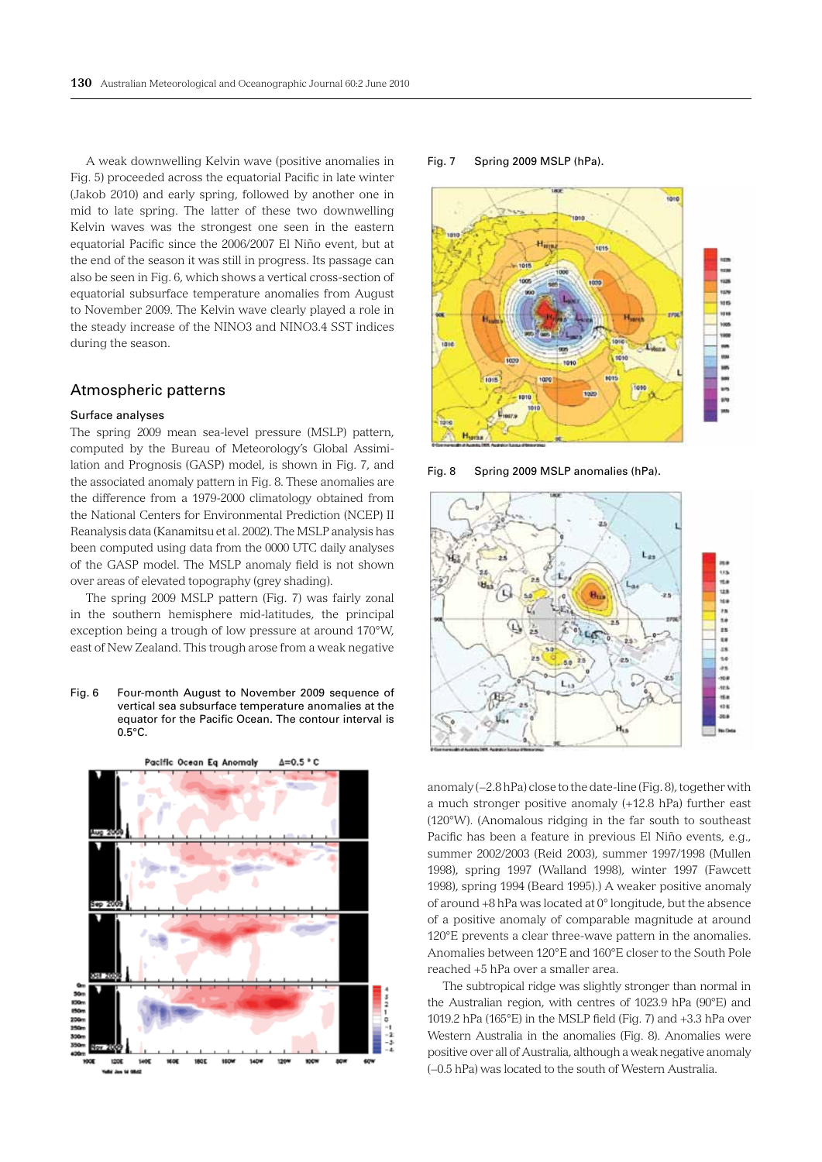A weak downwelling Kelvin wave (positive anomalies in Fig. 5) proceeded across the equatorial Pacific in late winter (Jakob 2010) and early spring, followed by another one in mid to late spring. The latter of these two downwelling Kelvin waves was the strongest one seen in the eastern equatorial Pacific since the 2006/2007 El Niño event, but at the end of the season it was still in progress. Its passage can also be seen in Fig. 6, which shows a vertical cross-section of equatorial subsurface temperature anomalies from August to November 2009. The Kelvin wave clearly played a role in the steady increase of the NINO3 and NINO3.4 SST indices during the season.

# Atmospheric patterns

#### Surface analyses

The spring 2009 mean sea-level pressure (MSLP) pattern, computed by the Bureau of Meteorology's Global Assimilation and Prognosis (GASP) model, is shown in Fig. 7, and the associated anomaly pattern in Fig. 8. These anomalies are the difference from a 1979-2000 climatology obtained from the National Centers for Environmental Prediction (NCEP) II Reanalysis data (Kanamitsu et al. 2002). The MSLP analysis has been computed using data from the 0000 UTC daily analyses of the GASP model. The MSLP anomaly field is not shown over areas of elevated topography (grey shading).

The spring 2009 MSLP pattern (Fig. 7) was fairly zonal in the southern hemisphere mid-latitudes, the principal exception being a trough of low pressure at around 170°W, east of New Zealand. This trough arose from a weak negative

Fig. 6 Four-month August to November 2009 sequence of vertical sea subsurface temperature anomalies at the equator for the Pacific Ocean. The contour interval is 0.5°C.



Fig. 7 Spring 2009 MSLP (hPa).



Fig. 8 Spring 2009 MSLP anomalies (hPa).



anomaly (−2.8 hPa) close to the date-line (Fig. 8), together with a much stronger positive anomaly (+12.8 hPa) further east (120°W). (Anomalous ridging in the far south to southeast Pacific has been a feature in previous El Niño events, e.g., summer 2002/2003 (Reid 2003), summer 1997/1998 (Mullen 1998), spring 1997 (Walland 1998), winter 1997 (Fawcett 1998), spring 1994 (Beard 1995).) A weaker positive anomaly of around +8 hPa was located at 0° longitude, but the absence of a positive anomaly of comparable magnitude at around 120°E prevents a clear three-wave pattern in the anomalies. Anomalies between 120°E and 160°E closer to the South Pole reached +5 hPa over a smaller area.

The subtropical ridge was slightly stronger than normal in the Australian region, with centres of 1023.9 hPa (90°E) and 1019.2 hPa (165°E) in the MSLP field (Fig. 7) and +3.3 hPa over Western Australia in the anomalies (Fig. 8). Anomalies were positive over all of Australia, although a weak negative anomaly (−0.5 hPa) was located to the south of Western Australia.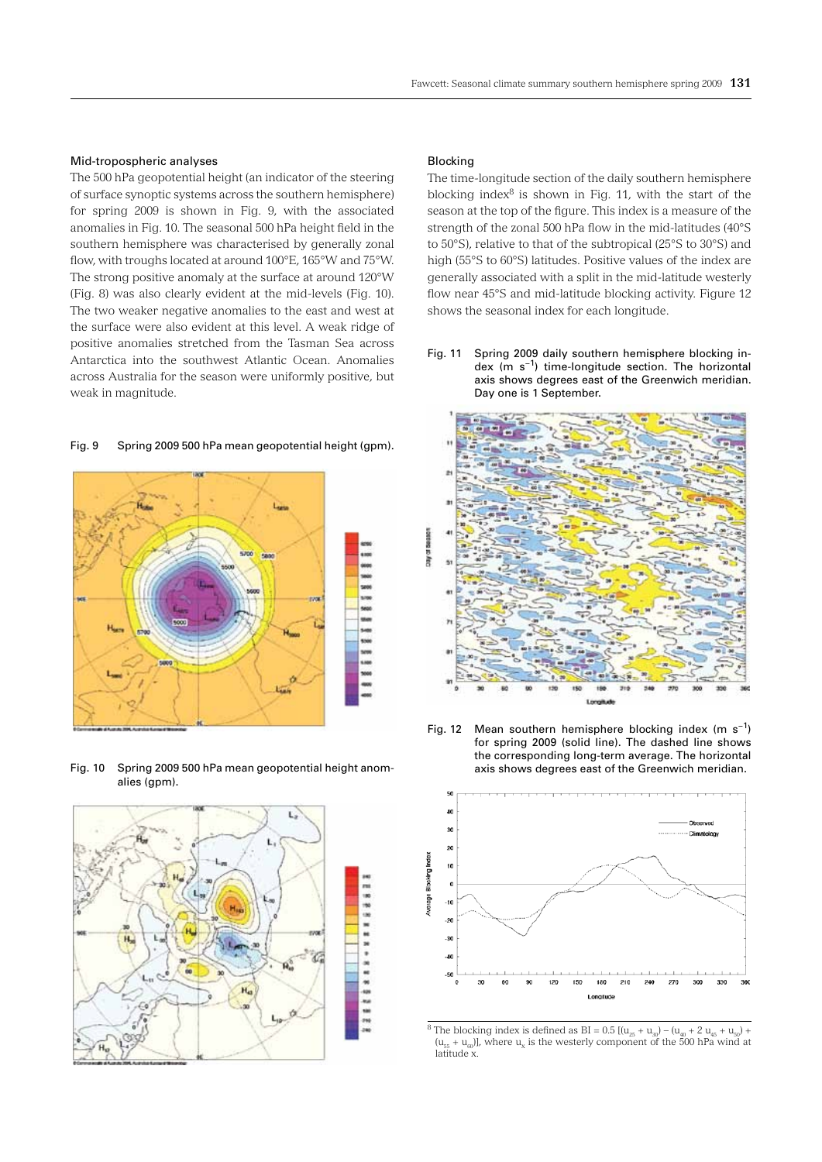#### Mid-tropospheric analyses

The 500 hPa geopotential height (an indicator of the steering of surface synoptic systems across the southern hemisphere) for spring 2009 is shown in Fig. 9, with the associated anomalies in Fig. 10. The seasonal 500 hPa height field in the southern hemisphere was characterised by generally zonal flow, with troughs located at around 100°E, 165°W and 75°W. The strong positive anomaly at the surface at around 120°W (Fig. 8) was also clearly evident at the mid-levels (Fig. 10). The two weaker negative anomalies to the east and west at the surface were also evident at this level. A weak ridge of positive anomalies stretched from the Tasman Sea across Antarctica into the southwest Atlantic Ocean. Anomalies across Australia for the season were uniformly positive, but weak in magnitude.

# Fig. 9 Spring 2009 500 hPa mean geopotential height (gpm).



Fig. 10 Spring 2009 500 hPa mean geopotential height anomalies (gpm).



#### Blocking

The time-longitude section of the daily southern hemisphere blocking index $8$  is shown in Fig. 11, with the start of the season at the top of the figure. This index is a measure of the strength of the zonal 500 hPa flow in the mid-latitudes (40°S to 50°S), relative to that of the subtropical (25°S to 30°S) and high (55°S to 60°S) latitudes. Positive values of the index are generally associated with a split in the mid-latitude westerly flow near 45°S and mid-latitude blocking activity. Figure 12 shows the seasonal index for each longitude.

Fig. 11 Spring 2009 daily southern hemisphere blocking index (m s−1) time-longitude section. The horizontal axis shows degrees east of the Greenwich meridian. Day one is 1 September.



Fig. 12 Mean southern hemisphere blocking index (m s<sup>-1</sup>) for spring 2009 (solid line). The dashed line shows the corresponding long-term average. The horizontal axis shows degrees east of the Greenwich meridian.



<sup>8</sup> The blocking index is defined as BI =  $0.5$  [( $u_{25} + u_{30}$ ) – ( $u_{40} + 2 u_{45} + u_{50}$ ) +  $(u_{55} + u_{60})$ , where  $u_x$  is the westerly component of the 500 hPa wind at latitude x.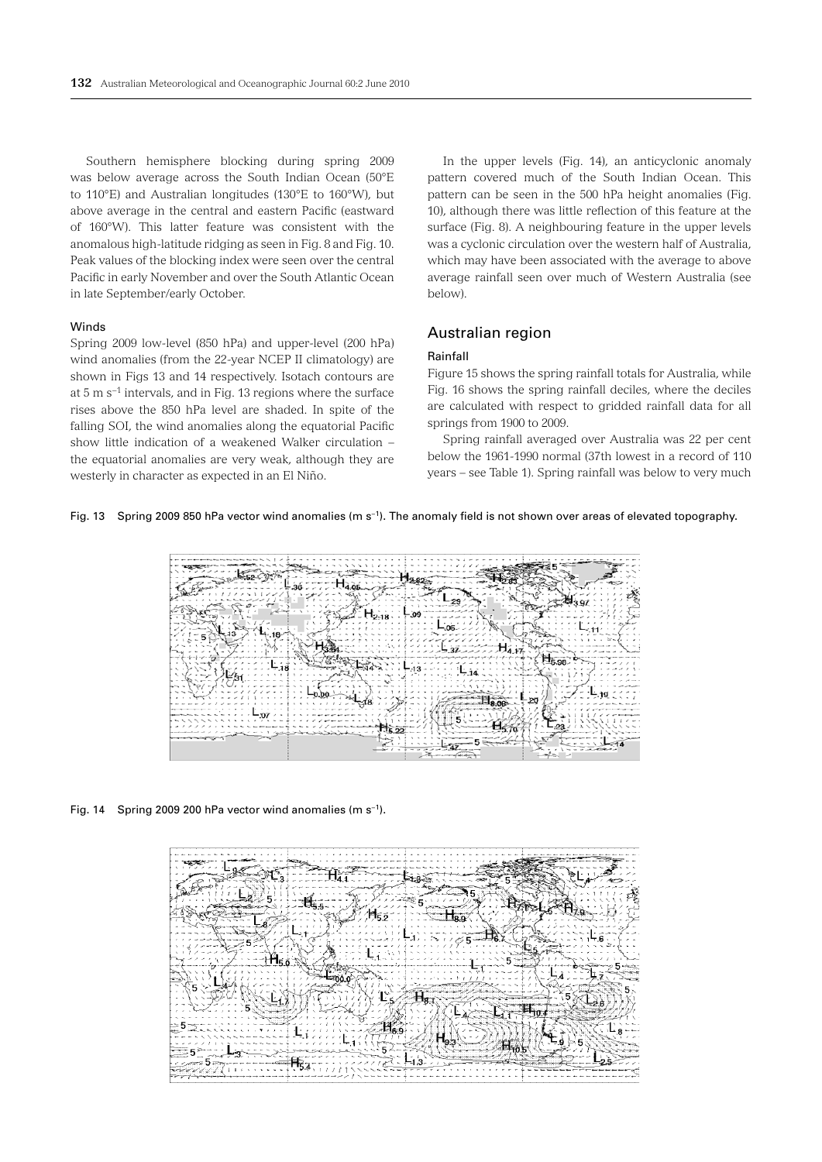Southern hemisphere blocking during spring 2009 was below average across the South Indian Ocean (50°E to 110°E) and Australian longitudes (130°E to 160°W), but above average in the central and eastern Pacific (eastward of 160°W). This latter feature was consistent with the anomalous high-latitude ridging as seen in Fig. 8 and Fig. 10. Peak values of the blocking index were seen over the central Pacific in early November and over the South Atlantic Ocean in late September/early October.

## Winds

Spring 2009 low-level (850 hPa) and upper-level (200 hPa) wind anomalies (from the 22-year NCEP II climatology) are shown in Figs 13 and 14 respectively. Isotach contours are at 5 m s−1 intervals, and in Fig. 13 regions where the surface rises above the 850 hPa level are shaded. In spite of the falling SOI, the wind anomalies along the equatorial Pacific show little indication of a weakened Walker circulation – the equatorial anomalies are very weak, although they are westerly in character as expected in an El Niño.

In the upper levels (Fig. 14), an anticyclonic anomaly pattern covered much of the South Indian Ocean. This pattern can be seen in the 500 hPa height anomalies (Fig. 10), although there was little reflection of this feature at the surface (Fig. 8). A neighbouring feature in the upper levels was a cyclonic circulation over the western half of Australia, which may have been associated with the average to above average rainfall seen over much of Western Australia (see below).

# Australian region

#### Rainfall

Figure 15 shows the spring rainfall totals for Australia, while Fig. 16 shows the spring rainfall deciles, where the deciles are calculated with respect to gridded rainfall data for all springs from 1900 to 2009.

Spring rainfall averaged over Australia was 22 per cent below the 1961-1990 normal (37th lowest in a record of 110 years – see Table 1). Spring rainfall was below to very much

#### Fig. 13 Spring 2009 850 hPa vector wind anomalies (m s−1). The anomaly field is not shown over areas of elevated topography.



#### Fig. 14 Spring 2009 200 hPa vector wind anomalies (m s−1).

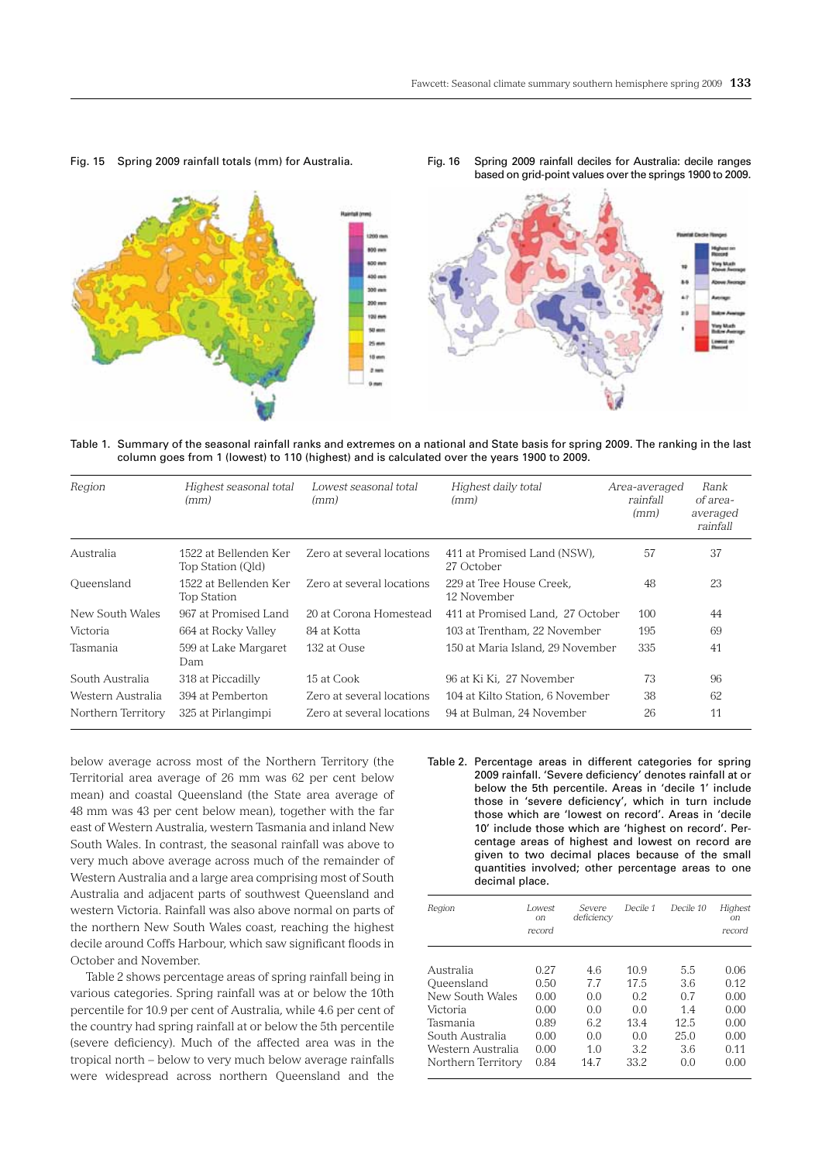

Fig. 15 Spring 2009 rainfall totals (mm) for Australia.

Fig. 16 Spring 2009 rainfall deciles for Australia: decile ranges based on grid-point values over the springs 1900 to 2009.

Table 1. Summary of the seasonal rainfall ranks and extremes on a national and State basis for spring 2009. The ranking in the last column goes from 1 (lowest) to 110 (highest) and is calculated over the years 1900 to 2009.

| Region             | Highest seasonal total<br>(mm)             | Lowest seasonal total<br>(mm) | Highest daily total<br>(mm)               | Area-averaged<br>rainfall<br>(mm) | Rank<br>of area-<br>averaged<br>rainfall |
|--------------------|--------------------------------------------|-------------------------------|-------------------------------------------|-----------------------------------|------------------------------------------|
| Australia          | 1522 at Bellenden Ker<br>Top Station (Qld) | Zero at several locations     | 411 at Promised Land (NSW).<br>27 October | 57                                | 37                                       |
| Queensland         | 1522 at Bellenden Ker<br>Top Station       | Zero at several locations     | 229 at Tree House Creek.<br>12 November   | 48                                | 23                                       |
| New South Wales    | 967 at Promised Land                       | 20 at Corona Homestead        | 411 at Promised Land. 27 October          | 100                               | 44                                       |
| Victoria           | 664 at Rocky Valley                        | 84 at Kotta                   | 103 at Trentham. 22 November              | 195                               | 69                                       |
| Tasmania           | 599 at Lake Margaret<br>Dam                | 132 at Ouse                   | 150 at Maria Island, 29 November          | 335                               | 41                                       |
| South Australia    | 318 at Piccadilly                          | 15 at Cook                    | 96 at Ki Ki, 27 November                  | 73                                | 96                                       |
| Western Australia  | 394 at Pemberton                           | Zero at several locations     | 104 at Kilto Station, 6 November          | 38                                | 62                                       |
| Northern Territory | 325 at Pirlangimpi                         | Zero at several locations     | 94 at Bulman, 24 November                 | 26                                | 11                                       |

below average across most of the Northern Territory (the Territorial area average of 26 mm was 62 per cent below mean) and coastal Queensland (the State area average of 48 mm was 43 per cent below mean), together with the far east of Western Australia, western Tasmania and inland New South Wales. In contrast, the seasonal rainfall was above to very much above average across much of the remainder of Western Australia and a large area comprising most of South Australia and adjacent parts of southwest Queensland and western Victoria. Rainfall was also above normal on parts of the northern New South Wales coast, reaching the highest decile around Coffs Harbour, which saw significant floods in October and November.

Table 2 shows percentage areas of spring rainfall being in various categories. Spring rainfall was at or below the 10th percentile for 10.9 per cent of Australia, while 4.6 per cent of the country had spring rainfall at or below the 5th percentile (severe deficiency). Much of the affected area was in the tropical north – below to very much below average rainfalls were widespread across northern Queensland and the

Table 2. Percentage areas in different categories for spring 2009 rainfall. 'Severe deficiency' denotes rainfall at or below the 5th percentile. Areas in 'decile 1' include those in 'severe deficiency', which in turn include those which are 'lowest on record'. Areas in 'decile 10' include those which are 'highest on record'. Percentage areas of highest and lowest on record are given to two decimal places because of the small quantities involved; other percentage areas to one decimal place.

| Region             | Lowest<br><sub>on</sub><br>record | Severe<br>deficiency | Decile 1 | Decile 10 | Highest<br>on<br>record |
|--------------------|-----------------------------------|----------------------|----------|-----------|-------------------------|
|                    |                                   |                      |          |           |                         |
| Australia          | 0.27                              | 4.6                  | 10.9     | 5.5       | 0.06                    |
| Queensland         | 0.50                              | 77                   | 17.5     | 3.6       | 0.12                    |
| New South Wales    | 0.00                              | 00                   | 0.2      | 0.7       | 0.00                    |
| Victoria           | 0.00                              | 0.0                  | 0.0      | 14        | 0.00                    |
| Tasmania           | 0.89                              | 6.2                  | 13.4     | 12.5      | 0.00                    |
| South Australia    | 0.00                              | 00                   | 00       | 25.0      | 0.00                    |
| Western Australia  | 0.00                              | 1.0                  | 3.2      | 3.6       | 0.11                    |
| Northern Territory | 0.84                              | 14.7                 | 33.2     | 0.0       | 0.00                    |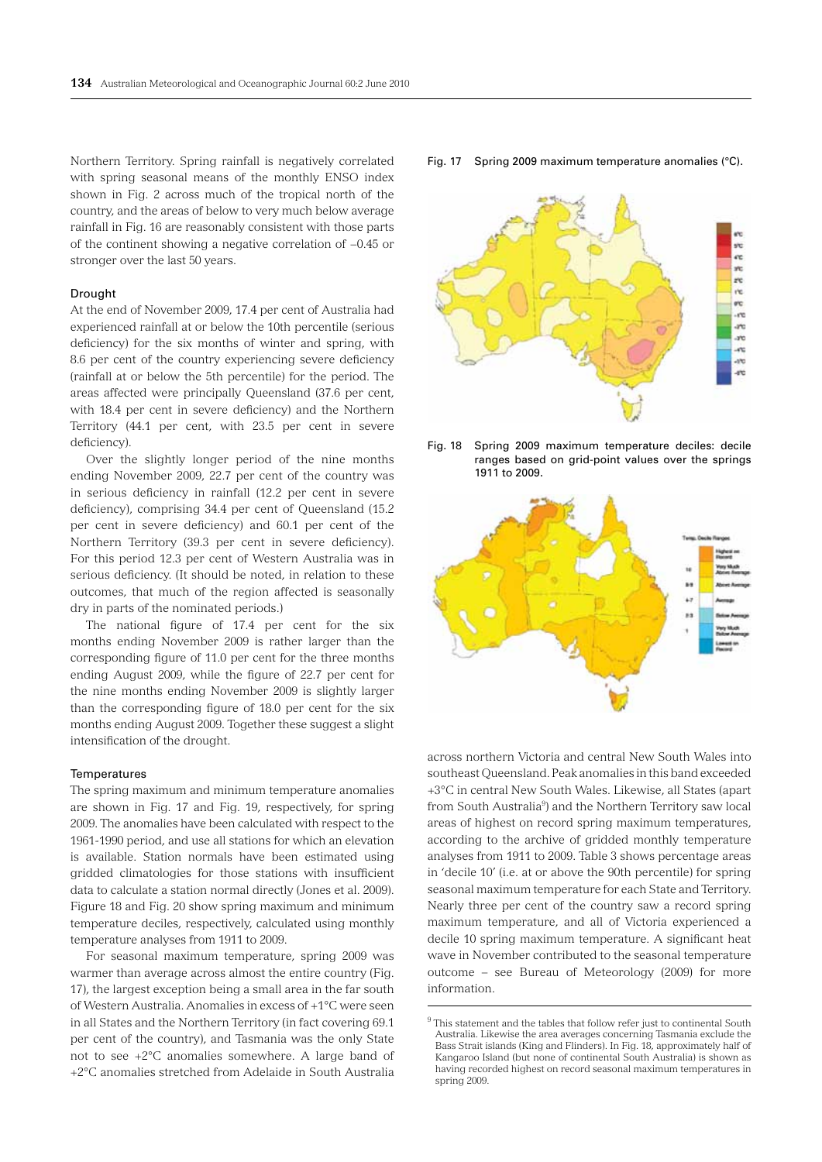Northern Territory. Spring rainfall is negatively correlated with spring seasonal means of the monthly ENSO index shown in Fig. 2 across much of the tropical north of the country, and the areas of below to very much below average rainfall in Fig. 16 are reasonably consistent with those parts of the continent showing a negative correlation of −0.45 or stronger over the last 50 years.

#### Drought

At the end of November 2009, 17.4 per cent of Australia had experienced rainfall at or below the 10th percentile (serious deficiency) for the six months of winter and spring, with 8.6 per cent of the country experiencing severe deficiency (rainfall at or below the 5th percentile) for the period. The areas affected were principally Queensland (37.6 per cent, with 18.4 per cent in severe deficiency) and the Northern Territory (44.1 per cent, with 23.5 per cent in severe deficiency).

Over the slightly longer period of the nine months ending November 2009, 22.7 per cent of the country was in serious deficiency in rainfall (12.2 per cent in severe deficiency), comprising 34.4 per cent of Queensland (15.2 per cent in severe deficiency) and 60.1 per cent of the Northern Territory (39.3 per cent in severe deficiency). For this period 12.3 per cent of Western Australia was in serious deficiency. (It should be noted, in relation to these outcomes, that much of the region affected is seasonally dry in parts of the nominated periods.)

The national figure of 17.4 per cent for the six months ending November 2009 is rather larger than the corresponding figure of 11.0 per cent for the three months ending August 2009, while the figure of 22.7 per cent for the nine months ending November 2009 is slightly larger than the corresponding figure of 18.0 per cent for the six months ending August 2009. Together these suggest a slight intensification of the drought.

#### **Temperatures**

The spring maximum and minimum temperature anomalies are shown in Fig. 17 and Fig. 19, respectively, for spring 2009. The anomalies have been calculated with respect to the 1961-1990 period, and use all stations for which an elevation is available. Station normals have been estimated using gridded climatologies for those stations with insufficient data to calculate a station normal directly (Jones et al. 2009). Figure 18 and Fig. 20 show spring maximum and minimum temperature deciles, respectively, calculated using monthly temperature analyses from 1911 to 2009.

For seasonal maximum temperature, spring 2009 was warmer than average across almost the entire country (Fig. 17), the largest exception being a small area in the far south of Western Australia. Anomalies in excess of +1°C were seen in all States and the Northern Territory (in fact covering 69.1 per cent of the country), and Tasmania was the only State not to see +2°C anomalies somewhere. A large band of +2°C anomalies stretched from Adelaide in South Australia





Fig. 18 Spring 2009 maximum temperature deciles: decile ranges based on grid-point values over the springs 1911 to 2009.



across northern Victoria and central New South Wales into southeast Queensland. Peak anomalies in this band exceeded +3°C in central New South Wales. Likewise, all States (apart from South Australia<sup>9</sup>) and the Northern Territory saw local areas of highest on record spring maximum temperatures, according to the archive of gridded monthly temperature analyses from 1911 to 2009. Table 3 shows percentage areas in 'decile 10' (i.e. at or above the 90th percentile) for spring seasonal maximum temperature for each State and Territory. Nearly three per cent of the country saw a record spring maximum temperature, and all of Victoria experienced a decile 10 spring maximum temperature. A significant heat wave in November contributed to the seasonal temperature outcome – see Bureau of Meteorology (2009) for more information.

 $9$ <sup>9</sup> This statement and the tables that follow refer just to continental South Australia. Likewise the area averages concerning Tasmania exclude the Bass Strait islands (King and Flinders). In Fig. 18, approximately half of Kangaroo Island (but none of continental South Australia) is shown as having recorded highest on record seasonal maximum temperatures in spring 2009.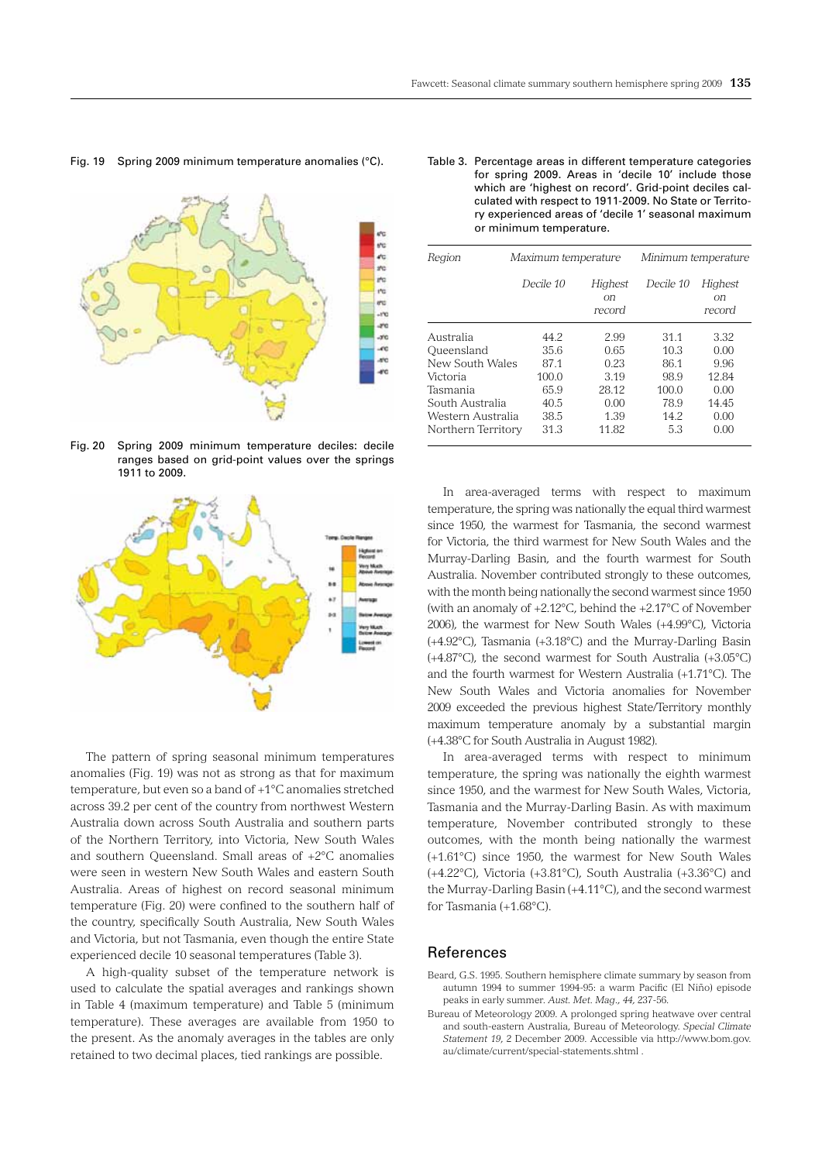#### Fig. 19 Spring 2009 minimum temperature anomalies (°C).



Fig. 20 Spring 2009 minimum temperature deciles: decile ranges based on grid-point values over the springs 1911 to 2009.



The pattern of spring seasonal minimum temperatures anomalies (Fig. 19) was not as strong as that for maximum temperature, but even so a band of +1°C anomalies stretched across 39.2 per cent of the country from northwest Western Australia down across South Australia and southern parts of the Northern Territory, into Victoria, New South Wales and southern Queensland. Small areas of +2°C anomalies were seen in western New South Wales and eastern South Australia. Areas of highest on record seasonal minimum temperature (Fig. 20) were confined to the southern half of the country, specifically South Australia, New South Wales and Victoria, but not Tasmania, even though the entire State experienced decile 10 seasonal temperatures (Table 3).

A high-quality subset of the temperature network is used to calculate the spatial averages and rankings shown in Table 4 (maximum temperature) and Table 5 (minimum temperature). These averages are available from 1950 to the present. As the anomaly averages in the tables are only retained to two decimal places, tied rankings are possible.

#### Table 3. Percentage areas in different temperature categories for spring 2009. Areas in 'decile 10' include those which are 'highest on record'. Grid-point deciles calculated with respect to 1911-2009. No State or Territory experienced areas of 'decile 1' seasonal maximum or minimum temperature.

| Region                                                                                                                           |                                                             | Maximum temperature                                            |                                                             | Minimum temperature                                            |  |  |
|----------------------------------------------------------------------------------------------------------------------------------|-------------------------------------------------------------|----------------------------------------------------------------|-------------------------------------------------------------|----------------------------------------------------------------|--|--|
|                                                                                                                                  | Decile 10                                                   | Highest<br>оn<br>record                                        | Decile 10                                                   | Highest<br>оn<br>record                                        |  |  |
| Australia<br>Oueensland<br>New South Wales<br>Victoria<br>Tasmania<br>South Australia<br>Western Australia<br>Northern Territory | 44.2<br>35.6<br>871<br>100.0<br>659<br>40.5<br>38.5<br>31.3 | 2.99<br>0.65<br>0.23<br>3.19<br>28.12<br>0.00<br>1.39<br>11.82 | 31.1<br>10.3<br>86.1<br>98.9<br>100.0<br>78.9<br>142<br>5.3 | 3.32<br>0.00<br>9.96<br>12.84<br>0.00<br>14.45<br>0.00<br>0.00 |  |  |

In area-averaged terms with respect to maximum temperature, the spring was nationally the equal third warmest since 1950, the warmest for Tasmania, the second warmest for Victoria, the third warmest for New South Wales and the Murray-Darling Basin, and the fourth warmest for South Australia. November contributed strongly to these outcomes, with the month being nationally the second warmest since 1950 (with an anomaly of +2.12°C, behind the +2.17°C of November 2006), the warmest for New South Wales (+4.99°C), Victoria (+4.92°C), Tasmania (+3.18°C) and the Murray-Darling Basin (+4.87°C), the second warmest for South Australia (+3.05°C) and the fourth warmest for Western Australia (+1.71°C). The New South Wales and Victoria anomalies for November 2009 exceeded the previous highest State/Territory monthly maximum temperature anomaly by a substantial margin (+4.38°C for South Australia in August 1982).

In area-averaged terms with respect to minimum temperature, the spring was nationally the eighth warmest since 1950, and the warmest for New South Wales, Victoria, Tasmania and the Murray-Darling Basin. As with maximum temperature, November contributed strongly to these outcomes, with the month being nationally the warmest (+1.61°C) since 1950, the warmest for New South Wales (+4.22°C), Victoria (+3.81°C), South Australia (+3.36°C) and the Murray-Darling Basin (+4.11°C), and the second warmest for Tasmania (+1.68°C).

#### References

- Beard, G.S. 1995. Southern hemisphere climate summary by season from autumn 1994 to summer 1994-95: a warm Pacific (El Niño) episode peaks in early summer. *Aust. Met. Mag., 44,* 237-56.
- Bureau of Meteorology 2009. A prolonged spring heatwave over central and south-eastern Australia, Bureau of Meteorology. *Special Climate Statement 19*, 2 December 2009. Accessible via http://www.bom.gov. au/climate/current/special-statements.shtml .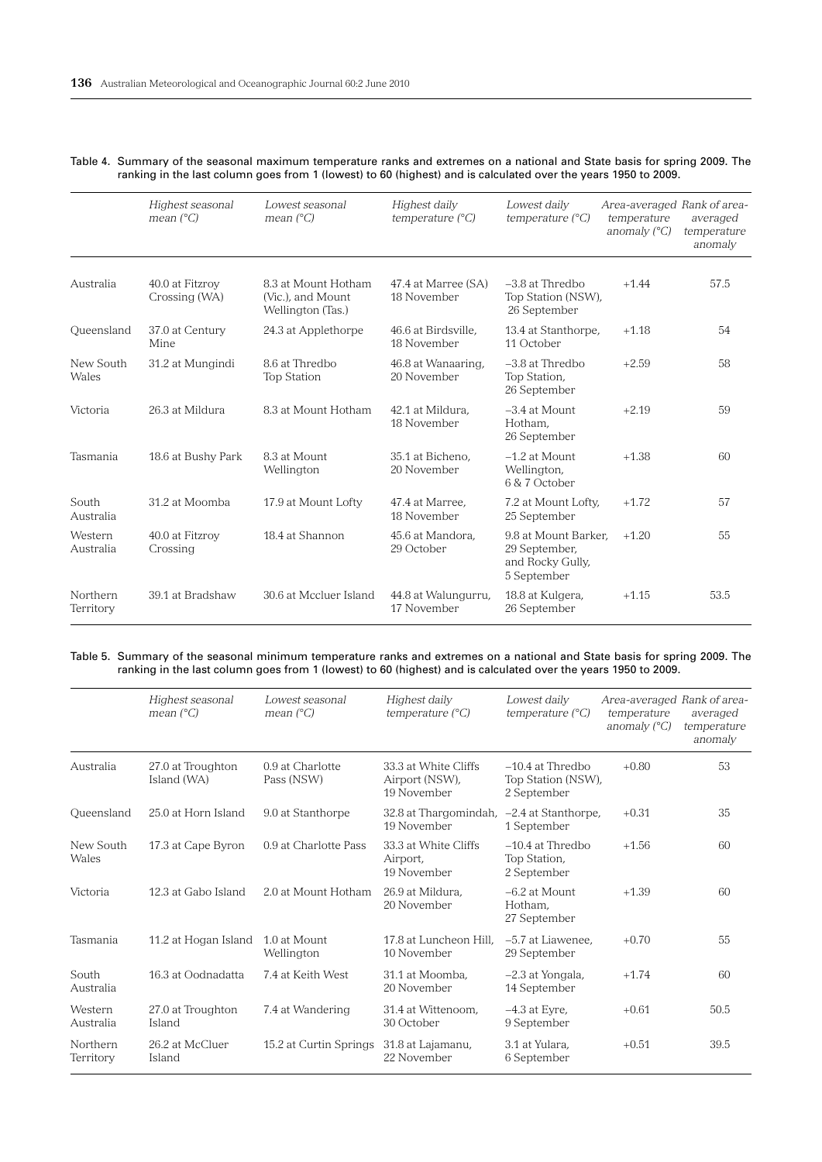|                       | Highest seasonal<br>mean $(^{\circ}C)$ | Lowest seasonal<br>mean $(^{\circ}C)$                         | Highest daily<br>temperature $(^{\circ}C)$ | Lowest daily<br>temperature $(^{\circ}C)$                                | Area-averaged Rank of area-<br>temperature<br>anomaly $(^{\circ}C)$ | averaged<br>temperature<br>anomaly |
|-----------------------|----------------------------------------|---------------------------------------------------------------|--------------------------------------------|--------------------------------------------------------------------------|---------------------------------------------------------------------|------------------------------------|
| Australia             | 40.0 at Fitzroy<br>Crossing (WA)       | 8.3 at Mount Hotham<br>(Vic.), and Mount<br>Wellington (Tas.) | 47.4 at Marree (SA)<br>18 November         | $-3.8$ at Thredbo<br>Top Station (NSW),<br>26 September                  | $+1.44$                                                             | 57.5                               |
| Oueensland            | 37.0 at Century<br>Mine                | 24.3 at Applethorpe                                           | 46.6 at Birdsville.<br>18 November         | 13.4 at Stanthorpe,<br>11 October                                        | $+1.18$                                                             | 54                                 |
| New South<br>Wales    | 31.2 at Mungindi                       | 8.6 at Thredbo<br><b>Top Station</b>                          | 46.8 at Wanaaring,<br>20 November          | $-3.8$ at Thredbo<br>Top Station,<br>26 September                        | $+2.59$                                                             | 58                                 |
| Victoria              | 26.3 at Mildura                        | 8.3 at Mount Hotham                                           | 42.1 at Mildura.<br>18 November            | $-3.4$ at Mount<br>Hotham.<br>26 September                               | $+2.19$                                                             | 59                                 |
| Tasmania              | 18.6 at Bushy Park                     | 8.3 at Mount<br>Wellington                                    | 35.1 at Bicheno.<br>20 November            | $-1.2$ at Mount<br>Wellington,<br>6 & 7 October                          | $+1.38$                                                             | 60                                 |
| South<br>Australia    | 31.2 at Moomba                         | 17.9 at Mount Lofty                                           | 47.4 at Marree.<br>18 November             | 7.2 at Mount Lofty,<br>25 September                                      | $+1.72$                                                             | 57                                 |
| Western<br>Australia  | 40.0 at Fitzrov<br>Crossing            | 18.4 at Shannon                                               | 45.6 at Mandora.<br>29 October             | 9.8 at Mount Barker.<br>29 September,<br>and Rocky Gully,<br>5 September | $+1.20$                                                             | 55                                 |
| Northern<br>Territory | 39.1 at Bradshaw                       | 30.6 at Mccluer Island                                        | 44.8 at Walungurru,<br>17 November         | 18.8 at Kulgera,<br>26 September                                         | $+1.15$                                                             | 53.5                               |

#### Table 4. Summary of the seasonal maximum temperature ranks and extremes on a national and State basis for spring 2009. The ranking in the last column goes from 1 (lowest) to 60 (highest) and is calculated over the years 1950 to 2009.

#### Table 5. Summary of the seasonal minimum temperature ranks and extremes on a national and State basis for spring 2009. The ranking in the last column goes from 1 (lowest) to 60 (highest) and is calculated over the years 1950 to 2009.

|                       | Highest seasonal<br>mean $(^{\circ}C)$ | Lowest seasonal<br>mean $(^{\circ}C)$ | Highest daily<br>temperature $(^{\circ}C)$            | Lowest daily<br>temperature $(^{\circ}C)$               | Area-averaged Rank of area-<br>temperature<br>anomaly $(^{\circ}C)$ | averaged<br>temperature<br>anomaly |
|-----------------------|----------------------------------------|---------------------------------------|-------------------------------------------------------|---------------------------------------------------------|---------------------------------------------------------------------|------------------------------------|
| Australia             | 27.0 at Troughton<br>Island (WA)       | 0.9 at Charlotte<br>Pass (NSW)        | 33.3 at White Cliffs<br>Airport (NSW),<br>19 November | $-10.4$ at Thredbo<br>Top Station (NSW),<br>2 September | $+0.80$                                                             | 53                                 |
| Queensland            | 25.0 at Horn Island                    | 9.0 at Stanthorpe                     | 32.8 at Thargomindah,<br>19 November                  | $-2.4$ at Stanthorpe,<br>1 September                    | $+0.31$                                                             | 35                                 |
| New South<br>Wales    | 17.3 at Cape Byron                     | 0.9 at Charlotte Pass                 | 33.3 at White Cliffs<br>Airport,<br>19 November       | $-10.4$ at Thredbo<br>Top Station,<br>2 September       | $+1.56$                                                             | 60                                 |
| Victoria              | 12.3 at Gabo Island                    | 2.0 at Mount Hotham                   | 26.9 at Mildura.<br>20 November                       | $-6.2$ at Mount<br>Hotham.<br>27 September              | $+1.39$                                                             | 60                                 |
| Tasmania              | 11.2 at Hogan Island                   | 1.0 at Mount<br>Wellington            | 17.8 at Luncheon Hill.<br>10 November                 | -5.7 at Liawenee,<br>29 September                       | $+0.70$                                                             | 55                                 |
| South<br>Australia    | 16.3 at Oodnadatta                     | 7.4 at Keith West                     | 31.1 at Moomba.<br>20 November                        | $-2.3$ at Yongala,<br>14 September                      | $+1.74$                                                             | 60                                 |
| Western<br>Australia  | 27.0 at Troughton<br>Island            | 7.4 at Wandering                      | 31.4 at Wittenoom.<br>30 October                      | $-4.3$ at Eyre.<br>9 September                          | $+0.61$                                                             | 50.5                               |
| Northern<br>Territory | 26.2 at McCluer<br>Island              | 15.2 at Curtin Springs                | 31.8 at Lajamanu,<br>22 November                      | 3.1 at Yulara.<br>6 September                           | $+0.51$                                                             | 39.5                               |